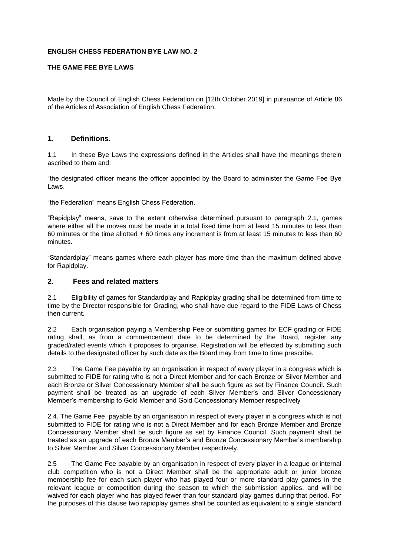## **ENGLISH CHESS FEDERATION BYE LAW NO. 2**

# **THE GAME FEE BYE LAWS**

Made by the Council of English Chess Federation on [12th October 2019] in pursuance of Article 86 of the Articles of Association of English Chess Federation.

#### **1. Definitions.**

1.1 In these Bye Laws the expressions defined in the Articles shall have the meanings therein ascribed to them and:

"the designated officer means the officer appointed by the Board to administer the Game Fee Bye Laws.

"the Federation" means English Chess Federation.

"Rapidplay" means, save to the extent otherwise determined pursuant to paragraph 2.1, games where either all the moves must be made in a total fixed time from at least 15 minutes to less than 60 minutes or the time allotted + 60 times any increment is from at least 15 minutes to less than 60 minutes.

"Standardplay" means games where each player has more time than the maximum defined above for Rapidplay.

## **2. Fees and related matters**

2.1 Eligibility of games for Standardplay and Rapidplay grading shall be determined from time to time by the Director responsible for Grading, who shall have due regard to the FIDE Laws of Chess then current.

2.2 Each organisation paying a Membership Fee or submitting games for ECF grading or FIDE rating shall, as from a commencement date to be determined by the Board, register any graded/rated events which it proposes to organise. Registration will be effected by submitting such details to the designated officer by such date as the Board may from time to time prescribe.

2.3 The Game Fee payable by an organisation in respect of every player in a congress which is submitted to FIDE for rating who is not a Direct Member and for each Bronze or Silver Member and each Bronze or Silver Concessionary Member shall be such figure as set by Finance Council. Such payment shall be treated as an upgrade of each Silver Member's and Silver Concessionary Member's membership to Gold Member and Gold Concessionary Member respectively

2.4. The Game Fee payable by an organisation in respect of every player in a congress which is not submitted to FIDE for rating who is not a Direct Member and for each Bronze Member and Bronze Concessionary Member shall be such figure as set by Finance Council. Such payment shall be treated as an upgrade of each Bronze Member's and Bronze Concessionary Member's membership to Silver Member and Silver Concessionary Member respectively.

2.5 The Game Fee payable by an organisation in respect of every player in a league or internal club competition who is not a Direct Member shall be the appropriate adult or junior bronze membership fee for each such player who has played four or more standard play games in the relevant league or competition during the season to which the submission applies, and will be waived for each player who has played fewer than four standard play games during that period. For the purposes of this clause two rapidplay games shall be counted as equivalent to a single standard